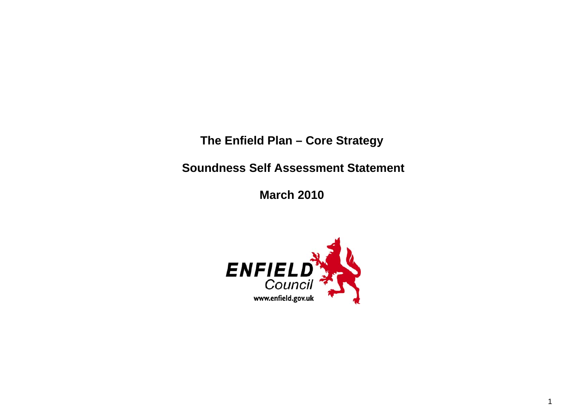**The Enfield Plan – Core Strategy** 

 **Soundness Self Assessment Statement** 

**March 2010** 

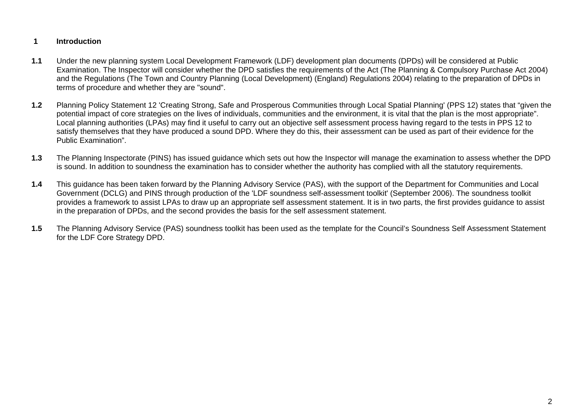## **1 Introduction**

- **1.1** Under the new planning system Local Development Framework (LDF) development plan documents (DPDs) will be considered at Public Examination. The Inspector will consider whether the DPD satisfies the requirements of the Act (The Planning & Compulsory Purchase Act 2004) and the Regulations (The Town and Country Planning (Local Development) (England) Regulations 2004) relating to the preparation of DPDs in terms of procedure and whether they are "sound".
- **1.2** Planning Policy Statement 12 'Creating Strong, Safe and Prosperous Communities through Local Spatial Planning' (PPS 12) states that "given the potential impact of core strategies on the lives of individuals, communities and the environment, it is vital that the plan is the most appropriate". Local planning authorities (LPAs) may find it useful to carry out an objective self assessment process having regard to the tests in PPS 12 to satisfy themselves that they have produced a sound DPD. Where they do this, their assessment can be used as part of their evidence for the Public Examination".
- **1.3** The Planning Inspectorate (PINS) has issued guidance which sets out how the Inspector will manage the examination to assess whether the DPD is sound. In addition to soundness the examination has to consider whether the authority has complied with all the statutory requirements.
- **1.4** This guidance has been taken forward by the Planning Advisory Service (PAS), with the support of the Department for Communities and Local Government (DCLG) and PINS through production of the 'LDF soundness self-assessment toolkit' (September 2006). The soundness toolkit provides a framework to assist LPAs to draw up an appropriate self assessment statement. It is in two parts, the first provides guidance to assist in the preparation of DPDs, and the second provides the basis for the self assessment statement.
- **1.5** The Planning Advisory Service (PAS) soundness toolkit has been used as the template for the Council's Soundness Self Assessment Statement for the LDF Core Strategy DPD.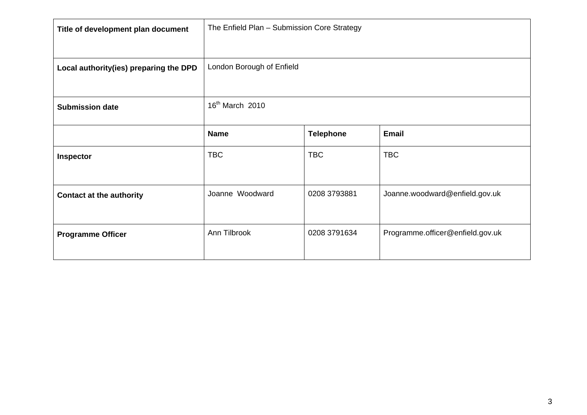| Title of development plan document     | The Enfield Plan - Submission Core Strategy |                  |                                  |
|----------------------------------------|---------------------------------------------|------------------|----------------------------------|
| Local authority(ies) preparing the DPD | London Borough of Enfield                   |                  |                                  |
| <b>Submission date</b>                 | 16 <sup>th</sup> March 2010                 |                  |                                  |
|                                        | <b>Name</b>                                 | <b>Telephone</b> | <b>Email</b>                     |
| <b>Inspector</b>                       | <b>TBC</b>                                  | <b>TBC</b>       | <b>TBC</b>                       |
| <b>Contact at the authority</b>        | Joanne Woodward                             | 0208 3793881     | Joanne.woodward@enfield.gov.uk   |
| <b>Programme Officer</b>               | Ann Tilbrook                                | 0208 3791634     | Programme.officer@enfield.gov.uk |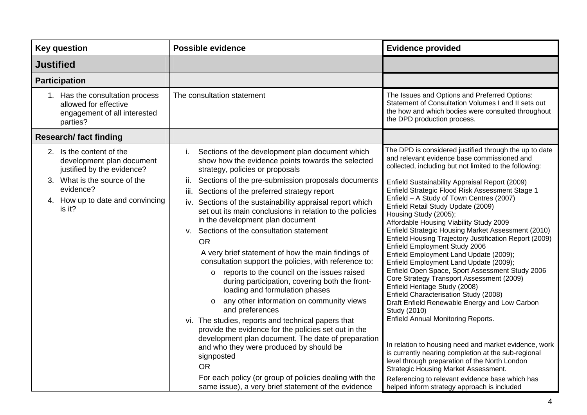| <b>Key question</b>                                                                                  | <b>Possible evidence</b>                                                                                                                                                                                                                                                                                                                                                                                                                                                                                                                                                                                                                                                                                                                                                                                                                                                                                                                                                                                                                | <b>Evidence provided</b>                                                                                                                                                                                                                                                                                                                                                                                                                                                                                                                                                                                                                                                                                                                                                                                                                                                                                                                                                                                                                                |
|------------------------------------------------------------------------------------------------------|-----------------------------------------------------------------------------------------------------------------------------------------------------------------------------------------------------------------------------------------------------------------------------------------------------------------------------------------------------------------------------------------------------------------------------------------------------------------------------------------------------------------------------------------------------------------------------------------------------------------------------------------------------------------------------------------------------------------------------------------------------------------------------------------------------------------------------------------------------------------------------------------------------------------------------------------------------------------------------------------------------------------------------------------|---------------------------------------------------------------------------------------------------------------------------------------------------------------------------------------------------------------------------------------------------------------------------------------------------------------------------------------------------------------------------------------------------------------------------------------------------------------------------------------------------------------------------------------------------------------------------------------------------------------------------------------------------------------------------------------------------------------------------------------------------------------------------------------------------------------------------------------------------------------------------------------------------------------------------------------------------------------------------------------------------------------------------------------------------------|
| <b>Justified</b>                                                                                     |                                                                                                                                                                                                                                                                                                                                                                                                                                                                                                                                                                                                                                                                                                                                                                                                                                                                                                                                                                                                                                         |                                                                                                                                                                                                                                                                                                                                                                                                                                                                                                                                                                                                                                                                                                                                                                                                                                                                                                                                                                                                                                                         |
| <b>Participation</b>                                                                                 |                                                                                                                                                                                                                                                                                                                                                                                                                                                                                                                                                                                                                                                                                                                                                                                                                                                                                                                                                                                                                                         |                                                                                                                                                                                                                                                                                                                                                                                                                                                                                                                                                                                                                                                                                                                                                                                                                                                                                                                                                                                                                                                         |
| 1. Has the consultation process<br>allowed for effective<br>engagement of all interested<br>parties? | The consultation statement                                                                                                                                                                                                                                                                                                                                                                                                                                                                                                                                                                                                                                                                                                                                                                                                                                                                                                                                                                                                              | The Issues and Options and Preferred Options:<br>Statement of Consultation Volumes I and II sets out<br>the how and which bodies were consulted throughout<br>the DPD production process.                                                                                                                                                                                                                                                                                                                                                                                                                                                                                                                                                                                                                                                                                                                                                                                                                                                               |
| <b>Research/fact finding</b>                                                                         |                                                                                                                                                                                                                                                                                                                                                                                                                                                                                                                                                                                                                                                                                                                                                                                                                                                                                                                                                                                                                                         |                                                                                                                                                                                                                                                                                                                                                                                                                                                                                                                                                                                                                                                                                                                                                                                                                                                                                                                                                                                                                                                         |
| 2. Is the content of the<br>development plan document<br>justified by the evidence?                  | Sections of the development plan document which<br>i.<br>show how the evidence points towards the selected<br>strategy, policies or proposals                                                                                                                                                                                                                                                                                                                                                                                                                                                                                                                                                                                                                                                                                                                                                                                                                                                                                           | The DPD is considered justified through the up to date<br>and relevant evidence base commissioned and<br>collected, including but not limited to the following:                                                                                                                                                                                                                                                                                                                                                                                                                                                                                                                                                                                                                                                                                                                                                                                                                                                                                         |
| 3. What is the source of the<br>evidence?<br>4. How up to date and convincing<br>is it?              | Sections of the pre-submission proposals documents<br>ii.<br>Sections of the preferred strategy report<br>iii.<br>iv. Sections of the sustainability appraisal report which<br>set out its main conclusions in relation to the policies<br>in the development plan document<br>v. Sections of the consultation statement<br><b>OR</b><br>A very brief statement of how the main findings of<br>consultation support the policies, with reference to:<br>reports to the council on the issues raised<br>$\circ$<br>during participation, covering both the front-<br>loading and formulation phases<br>any other information on community views<br>$\circ$<br>and preferences<br>vi. The studies, reports and technical papers that<br>provide the evidence for the policies set out in the<br>development plan document. The date of preparation<br>and who they were produced by should be<br>signposted<br><b>OR</b><br>For each policy (or group of policies dealing with the<br>same issue), a very brief statement of the evidence | Enfield Sustainability Appraisal Report (2009)<br>Enfield Strategic Flood Risk Assessment Stage 1<br>Enfield - A Study of Town Centres (2007)<br>Enfield Retail Study Update (2009)<br>Housing Study (2005);<br>Affordable Housing Viability Study 2009<br>Enfield Strategic Housing Market Assessment (2010)<br>Enfield Housing Trajectory Justification Report (2009)<br>Enfield Employment Study 2006<br>Enfield Employment Land Update (2009);<br>Enfield Employment Land Update (2009);<br>Enfield Open Space, Sport Assessment Study 2006<br>Core Strategy Transport Assessment (2009)<br>Enfield Heritage Study (2008)<br>Enfield Characterisation Study (2008)<br>Draft Enfield Renewable Energy and Low Carbon<br>Study (2010)<br><b>Enfield Annual Monitoring Reports.</b><br>In relation to housing need and market evidence, work<br>is currently nearing completion at the sub-regional<br>level through preparation of the North London<br><b>Strategic Housing Market Assessment.</b><br>Referencing to relevant evidence base which has |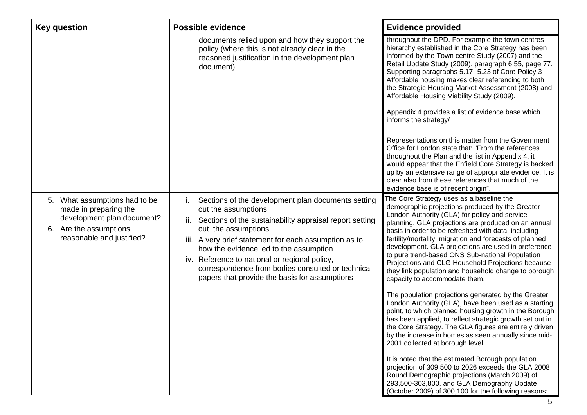| <b>Key question</b>                                                                                                                         | <b>Possible evidence</b>                                                                                                                                                                                                                                                                                                                                                                                                           | <b>Evidence provided</b>                                                                                                                                                                                                                                                                                                                                                                                                                                                                                                                                                                                                                                                                                                                                                                                                                                                                                                                                                                                                                                                                                                                                                                                                                 |
|---------------------------------------------------------------------------------------------------------------------------------------------|------------------------------------------------------------------------------------------------------------------------------------------------------------------------------------------------------------------------------------------------------------------------------------------------------------------------------------------------------------------------------------------------------------------------------------|------------------------------------------------------------------------------------------------------------------------------------------------------------------------------------------------------------------------------------------------------------------------------------------------------------------------------------------------------------------------------------------------------------------------------------------------------------------------------------------------------------------------------------------------------------------------------------------------------------------------------------------------------------------------------------------------------------------------------------------------------------------------------------------------------------------------------------------------------------------------------------------------------------------------------------------------------------------------------------------------------------------------------------------------------------------------------------------------------------------------------------------------------------------------------------------------------------------------------------------|
|                                                                                                                                             | documents relied upon and how they support the<br>policy (where this is not already clear in the<br>reasoned justification in the development plan<br>document)                                                                                                                                                                                                                                                                    | throughout the DPD. For example the town centres<br>hierarchy established in the Core Strategy has been<br>informed by the Town centre Study (2007) and the<br>Retail Update Study (2009), paragraph 6.55, page 77.<br>Supporting paragraphs 5.17 -5.23 of Core Policy 3<br>Affordable housing makes clear referencing to both<br>the Strategic Housing Market Assessment (2008) and<br>Affordable Housing Viability Study (2009).<br>Appendix 4 provides a list of evidence base which<br>informs the strategy/<br>Representations on this matter from the Government<br>Office for London state that: "From the references<br>throughout the Plan and the list in Appendix 4, it<br>would appear that the Enfield Core Strategy is backed<br>up by an extensive range of appropriate evidence. It is<br>clear also from these references that much of the<br>evidence base is of recent origin".                                                                                                                                                                                                                                                                                                                                       |
| 5. What assumptions had to be<br>made in preparing the<br>development plan document?<br>6. Are the assumptions<br>reasonable and justified? | Sections of the development plan documents setting<br>İ.<br>out the assumptions<br>Sections of the sustainability appraisal report setting<br>ii.<br>out the assumptions<br>iii. A very brief statement for each assumption as to<br>how the evidence led to the assumption<br>iv. Reference to national or regional policy,<br>correspondence from bodies consulted or technical<br>papers that provide the basis for assumptions | The Core Strategy uses as a baseline the<br>demographic projections produced by the Greater<br>London Authority (GLA) for policy and service<br>planning. GLA projections are produced on an annual<br>basis in order to be refreshed with data, including<br>fertility/mortality, migration and forecasts of planned<br>development. GLA projections are used in preference<br>to pure trend-based ONS Sub-national Population<br>Projections and CLG Household Projections because<br>they link population and household change to borough<br>capacity to accommodate them.<br>The population projections generated by the Greater<br>London Authority (GLA), have been used as a starting<br>point, to which planned housing growth in the Borough<br>has been applied, to reflect strategic growth set out in<br>the Core Strategy. The GLA figures are entirely driven<br>by the increase in homes as seen annually since mid-<br>2001 collected at borough level<br>It is noted that the estimated Borough population<br>projection of 309,500 to 2026 exceeds the GLA 2008<br>Round Demographic projections (March 2009) of<br>293,500-303,800, and GLA Demography Update<br>(October 2009) of 300,100 for the following reasons: |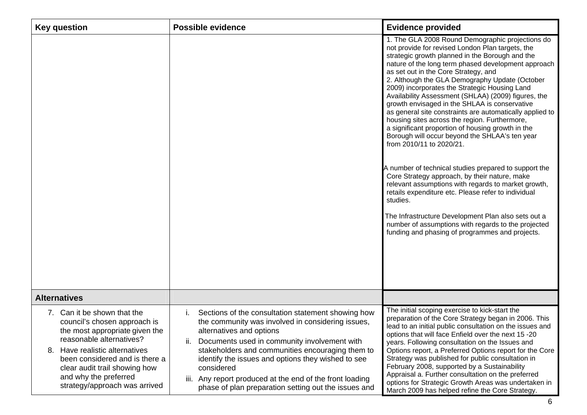| <b>Key question</b>                                                                                                                                                                                                                                                                         | <b>Possible evidence</b>                                                                                                                                                                                                                                                                                                                                                                                                                  | <b>Evidence provided</b>                                                                                                                                                                                                                                                                                                                                                                                                                                                                                                                                                                                                                                                                                                                                                                                                                                                                                                                                                                                                                                                                                               |
|---------------------------------------------------------------------------------------------------------------------------------------------------------------------------------------------------------------------------------------------------------------------------------------------|-------------------------------------------------------------------------------------------------------------------------------------------------------------------------------------------------------------------------------------------------------------------------------------------------------------------------------------------------------------------------------------------------------------------------------------------|------------------------------------------------------------------------------------------------------------------------------------------------------------------------------------------------------------------------------------------------------------------------------------------------------------------------------------------------------------------------------------------------------------------------------------------------------------------------------------------------------------------------------------------------------------------------------------------------------------------------------------------------------------------------------------------------------------------------------------------------------------------------------------------------------------------------------------------------------------------------------------------------------------------------------------------------------------------------------------------------------------------------------------------------------------------------------------------------------------------------|
|                                                                                                                                                                                                                                                                                             |                                                                                                                                                                                                                                                                                                                                                                                                                                           | 1. The GLA 2008 Round Demographic projections do<br>not provide for revised London Plan targets, the<br>strategic growth planned in the Borough and the<br>nature of the long term phased development approach<br>as set out in the Core Strategy, and<br>2. Although the GLA Demography Update (October<br>2009) incorporates the Strategic Housing Land<br>Availability Assessment (SHLAA) (2009) figures, the<br>growth envisaged in the SHLAA is conservative<br>as general site constraints are automatically applied to<br>housing sites across the region. Furthermore,<br>a significant proportion of housing growth in the<br>Borough will occur beyond the SHLAA's ten year<br>from 2010/11 to 2020/21.<br>A number of technical studies prepared to support the<br>Core Strategy approach, by their nature, make<br>relevant assumptions with regards to market growth,<br>retails expenditure etc. Please refer to individual<br>studies.<br>The Infrastructure Development Plan also sets out a<br>number of assumptions with regards to the projected<br>funding and phasing of programmes and projects. |
| <b>Alternatives</b>                                                                                                                                                                                                                                                                         |                                                                                                                                                                                                                                                                                                                                                                                                                                           |                                                                                                                                                                                                                                                                                                                                                                                                                                                                                                                                                                                                                                                                                                                                                                                                                                                                                                                                                                                                                                                                                                                        |
| 7. Can it be shown that the<br>council's chosen approach is<br>the most appropriate given the<br>reasonable alternatives?<br>Have realistic alternatives<br>8.<br>been considered and is there a<br>clear audit trail showing how<br>and why the preferred<br>strategy/approach was arrived | Sections of the consultation statement showing how<br>the community was involved in considering issues,<br>alternatives and options<br>Documents used in community involvement with<br>ii.<br>stakeholders and communities encouraging them to<br>identify the issues and options they wished to see<br>considered<br>Any report produced at the end of the front loading<br>iii.<br>phase of plan preparation setting out the issues and | The initial scoping exercise to kick-start the<br>preparation of the Core Strategy began in 2006. This<br>lead to an initial public consultation on the issues and<br>options that will face Enfield over the next 15 -20<br>years. Following consultation on the Issues and<br>Options report, a Preferred Options report for the Core<br>Strategy was published for public consultation in<br>February 2008, supported by a Sustainability<br>Appraisal a. Further consultation on the preferred<br>options for Strategic Growth Areas was undertaken in<br>March 2009 has helped refine the Core Strategy.                                                                                                                                                                                                                                                                                                                                                                                                                                                                                                          |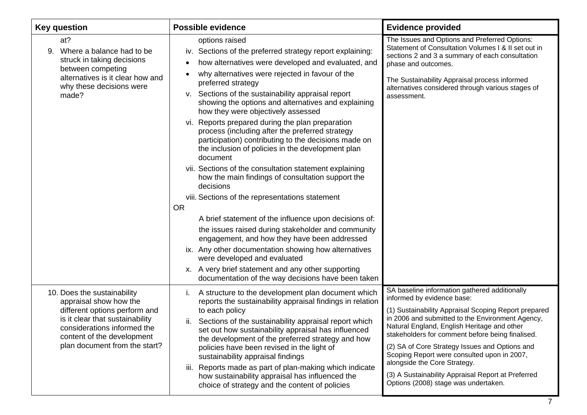| <b>Key question</b>                                                                                                                                                                      | <b>Possible evidence</b>                                                                                                                                                                                                                                                                                                                                                                                                                                                                                                                                                                                                                                                                                                                                                                                                                                                                                                                                                                                                                                                                                            | <b>Evidence provided</b>                                                                                                                                                                                                                                                                                                                                                                                                                                                 |
|------------------------------------------------------------------------------------------------------------------------------------------------------------------------------------------|---------------------------------------------------------------------------------------------------------------------------------------------------------------------------------------------------------------------------------------------------------------------------------------------------------------------------------------------------------------------------------------------------------------------------------------------------------------------------------------------------------------------------------------------------------------------------------------------------------------------------------------------------------------------------------------------------------------------------------------------------------------------------------------------------------------------------------------------------------------------------------------------------------------------------------------------------------------------------------------------------------------------------------------------------------------------------------------------------------------------|--------------------------------------------------------------------------------------------------------------------------------------------------------------------------------------------------------------------------------------------------------------------------------------------------------------------------------------------------------------------------------------------------------------------------------------------------------------------------|
| at?<br>Where a balance had to be<br>9.<br>struck in taking decisions<br>between competing<br>alternatives is it clear how and<br>why these decisions were<br>made?                       | options raised<br>iv. Sections of the preferred strategy report explaining:<br>how alternatives were developed and evaluated, and<br>$\bullet$<br>why alternatives were rejected in favour of the<br>preferred strategy<br>v. Sections of the sustainability appraisal report<br>showing the options and alternatives and explaining<br>how they were objectively assessed<br>vi. Reports prepared during the plan preparation<br>process (including after the preferred strategy<br>participation) contributing to the decisions made on<br>the inclusion of policies in the development plan<br>document<br>vii. Sections of the consultation statement explaining<br>how the main findings of consultation support the<br>decisions<br>viii. Sections of the representations statement<br><b>OR</b><br>A brief statement of the influence upon decisions of:<br>the issues raised during stakeholder and community<br>engagement, and how they have been addressed<br>ix. Any other documentation showing how alternatives<br>were developed and evaluated<br>x. A very brief statement and any other supporting | The Issues and Options and Preferred Options:<br>Statement of Consultation Volumes I & II set out in<br>sections 2 and 3 a summary of each consultation<br>phase and outcomes.<br>The Sustainability Appraisal process informed<br>alternatives considered through various stages of<br>assessment.                                                                                                                                                                      |
| 10. Does the sustainability                                                                                                                                                              | documentation of the way decisions have been taken<br>A structure to the development plan document which<br>i.                                                                                                                                                                                                                                                                                                                                                                                                                                                                                                                                                                                                                                                                                                                                                                                                                                                                                                                                                                                                      | SA baseline information gathered additionally                                                                                                                                                                                                                                                                                                                                                                                                                            |
| appraisal show how the<br>different options perform and<br>is it clear that sustainability<br>considerations informed the<br>content of the development<br>plan document from the start? | reports the sustainability appraisal findings in relation<br>to each policy<br>Sections of the sustainability appraisal report which<br>ii.<br>set out how sustainability appraisal has influenced<br>the development of the preferred strategy and how<br>policies have been revised in the light of<br>sustainability appraisal findings<br>Reports made as part of plan-making which indicate<br>iii.<br>how sustainability appraisal has influenced the<br>choice of strategy and the content of policies                                                                                                                                                                                                                                                                                                                                                                                                                                                                                                                                                                                                       | informed by evidence base:<br>(1) Sustainability Appraisal Scoping Report prepared<br>in 2006 and submitted to the Environment Agency,<br>Natural England, English Heritage and other<br>stakeholders for comment before being finalised.<br>(2) SA of Core Strategy Issues and Options and<br>Scoping Report were consulted upon in 2007,<br>alongside the Core Strategy.<br>(3) A Sustainability Appraisal Report at Preferred<br>Options (2008) stage was undertaken. |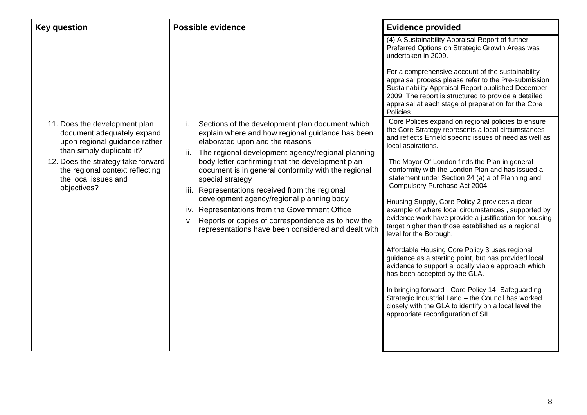| <b>Key question</b>                                                                                                                                                                                                                       | Possible evidence                                                                                                                                                                                                                                                                                                                                                                                                                                                                                                                                                                                        | <b>Evidence provided</b>                                                                                                                                                                                                                                                                                                                                                                                                                                                                                                                                                                                                                                                                                                                                                                                                                                                                                                                                                                                                                                           |
|-------------------------------------------------------------------------------------------------------------------------------------------------------------------------------------------------------------------------------------------|----------------------------------------------------------------------------------------------------------------------------------------------------------------------------------------------------------------------------------------------------------------------------------------------------------------------------------------------------------------------------------------------------------------------------------------------------------------------------------------------------------------------------------------------------------------------------------------------------------|--------------------------------------------------------------------------------------------------------------------------------------------------------------------------------------------------------------------------------------------------------------------------------------------------------------------------------------------------------------------------------------------------------------------------------------------------------------------------------------------------------------------------------------------------------------------------------------------------------------------------------------------------------------------------------------------------------------------------------------------------------------------------------------------------------------------------------------------------------------------------------------------------------------------------------------------------------------------------------------------------------------------------------------------------------------------|
| 11. Does the development plan<br>document adequately expand<br>upon regional guidance rather<br>than simply duplicate it?<br>12. Does the strategy take forward<br>the regional context reflecting<br>the local issues and<br>objectives? | Sections of the development plan document which<br>i.<br>explain where and how regional guidance has been<br>elaborated upon and the reasons<br>The regional development agency/regional planning<br>ii.<br>body letter confirming that the development plan<br>document is in general conformity with the regional<br>special strategy<br>iii. Representations received from the regional<br>development agency/regional planning body<br>iv. Representations from the Government Office<br>v. Reports or copies of correspondence as to how the<br>representations have been considered and dealt with | (4) A Sustainability Appraisal Report of further<br>Preferred Options on Strategic Growth Areas was<br>undertaken in 2009.<br>For a comprehensive account of the sustainability<br>appraisal process please refer to the Pre-submission<br>Sustainability Appraisal Report published December<br>2009. The report is structured to provide a detailed<br>appraisal at each stage of preparation for the Core<br>Policies.<br>Core Polices expand on regional policies to ensure<br>the Core Strategy represents a local circumstances<br>and reflects Enfield specific issues of need as well as<br>local aspirations.<br>The Mayor Of London finds the Plan in general<br>conformity with the London Plan and has issued a<br>statement under Section 24 (a) a of Planning and<br>Compulsory Purchase Act 2004.<br>Housing Supply, Core Policy 2 provides a clear<br>example of where local circumstances, supported by<br>evidence work have provide a justification for housing<br>target higher than those established as a regional<br>level for the Borough. |
|                                                                                                                                                                                                                                           |                                                                                                                                                                                                                                                                                                                                                                                                                                                                                                                                                                                                          | Affordable Housing Core Policy 3 uses regional<br>guidance as a starting point, but has provided local<br>evidence to support a locally viable approach which<br>has been accepted by the GLA.                                                                                                                                                                                                                                                                                                                                                                                                                                                                                                                                                                                                                                                                                                                                                                                                                                                                     |
|                                                                                                                                                                                                                                           |                                                                                                                                                                                                                                                                                                                                                                                                                                                                                                                                                                                                          | In bringing forward - Core Policy 14 -Safeguarding<br>Strategic Industrial Land - the Council has worked<br>closely with the GLA to identify on a local level the<br>appropriate reconfiguration of SIL.                                                                                                                                                                                                                                                                                                                                                                                                                                                                                                                                                                                                                                                                                                                                                                                                                                                           |
|                                                                                                                                                                                                                                           |                                                                                                                                                                                                                                                                                                                                                                                                                                                                                                                                                                                                          |                                                                                                                                                                                                                                                                                                                                                                                                                                                                                                                                                                                                                                                                                                                                                                                                                                                                                                                                                                                                                                                                    |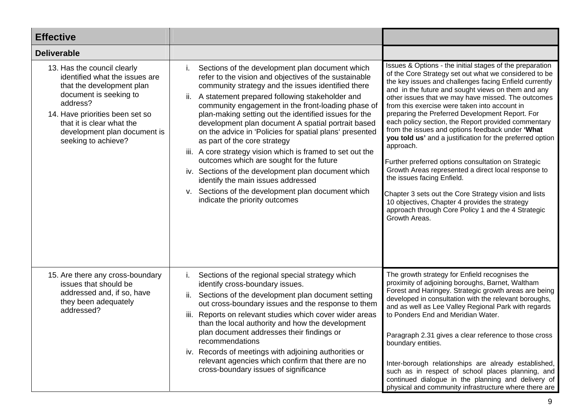| <b>Effective</b>                                                                                                                                                                                                                                        |                                                                                                                                                                                                                                                                                                                                                                                                                                                                                                                                                                                                                                                                                                                                                                                              |                                                                                                                                                                                                                                                                                                                                                                                                                                                                                                                                                                                                                                                                                                                                                                                                                                                                                                                |
|---------------------------------------------------------------------------------------------------------------------------------------------------------------------------------------------------------------------------------------------------------|----------------------------------------------------------------------------------------------------------------------------------------------------------------------------------------------------------------------------------------------------------------------------------------------------------------------------------------------------------------------------------------------------------------------------------------------------------------------------------------------------------------------------------------------------------------------------------------------------------------------------------------------------------------------------------------------------------------------------------------------------------------------------------------------|----------------------------------------------------------------------------------------------------------------------------------------------------------------------------------------------------------------------------------------------------------------------------------------------------------------------------------------------------------------------------------------------------------------------------------------------------------------------------------------------------------------------------------------------------------------------------------------------------------------------------------------------------------------------------------------------------------------------------------------------------------------------------------------------------------------------------------------------------------------------------------------------------------------|
| <b>Deliverable</b>                                                                                                                                                                                                                                      |                                                                                                                                                                                                                                                                                                                                                                                                                                                                                                                                                                                                                                                                                                                                                                                              |                                                                                                                                                                                                                                                                                                                                                                                                                                                                                                                                                                                                                                                                                                                                                                                                                                                                                                                |
| 13. Has the council clearly<br>identified what the issues are<br>that the development plan<br>document is seeking to<br>address?<br>14. Have priorities been set so<br>that it is clear what the<br>development plan document is<br>seeking to achieve? | Sections of the development plan document which<br>İ.<br>refer to the vision and objectives of the sustainable<br>community strategy and the issues identified there<br>A statement prepared following stakeholder and<br>ii.<br>community engagement in the front-loading phase of<br>plan-making setting out the identified issues for the<br>development plan document A spatial portrait based<br>on the advice in 'Policies for spatial plans' presented<br>as part of the core strategy<br>iii. A core strategy vision which is framed to set out the<br>outcomes which are sought for the future<br>iv. Sections of the development plan document which<br>identify the main issues addressed<br>v. Sections of the development plan document which<br>indicate the priority outcomes | Issues & Options - the initial stages of the preparation<br>of the Core Strategy set out what we considered to be<br>the key issues and challenges facing Enfield currently<br>and in the future and sought views on them and any<br>other issues that we may have missed. The outcomes<br>from this exercise were taken into account in<br>preparing the Preferred Development Report. For<br>each policy section, the Report provided commentary<br>from the issues and options feedback under 'What<br>you told us' and a justification for the preferred option<br>approach.<br>Further preferred options consultation on Strategic<br>Growth Areas represented a direct local response to<br>the issues facing Enfield.<br>Chapter 3 sets out the Core Strategy vision and lists<br>10 objectives, Chapter 4 provides the strategy<br>approach through Core Policy 1 and the 4 Strategic<br>Growth Areas. |
| 15. Are there any cross-boundary<br>issues that should be<br>addressed and, if so, have<br>they been adequately<br>addressed?                                                                                                                           | Sections of the regional special strategy which<br>İ.<br>identify cross-boundary issues.<br>ii. Sections of the development plan document setting<br>out cross-boundary issues and the response to them<br>iii. Reports on relevant studies which cover wider areas<br>than the local authority and how the development<br>plan document addresses their findings or<br>recommendations<br>iv. Records of meetings with adjoining authorities or<br>relevant agencies which confirm that there are no<br>cross-boundary issues of significance                                                                                                                                                                                                                                               | The growth strategy for Enfield recognises the<br>proximity of adjoining boroughs, Barnet, Waltham<br>Forest and Haringey. Strategic growth areas are being<br>developed in consultation with the relevant boroughs,<br>and as well as Lee Valley Regional Park with regards<br>to Ponders End and Meridian Water.<br>Paragraph 2.31 gives a clear reference to those cross<br>boundary entities.<br>Inter-borough relationships are already established,<br>such as in respect of school places planning, and<br>continued dialogue in the planning and delivery of<br>physical and community infrastructure where there are                                                                                                                                                                                                                                                                                  |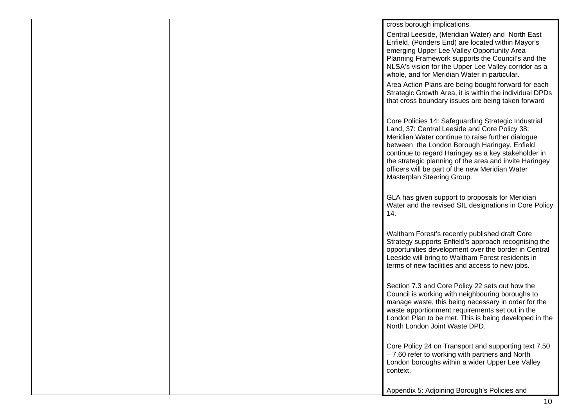|  | cross borough implications.                                                                                                                                                                                                                                                                                                                                                                                                                                                              |
|--|------------------------------------------------------------------------------------------------------------------------------------------------------------------------------------------------------------------------------------------------------------------------------------------------------------------------------------------------------------------------------------------------------------------------------------------------------------------------------------------|
|  | Central Leeside, (Meridian Water) and North East<br>Enfield, (Ponders End) are located within Mayor's<br>emerging Upper Lee Valley Opportunity Area<br>Planning Framework supports the Council's and the<br>NLSA's vision for the Upper Lee Valley corridor as a<br>whole, and for Meridian Water in particular.<br>Area Action Plans are being bought forward for each<br>Strategic Growth Area, it is within the individual DPDs<br>that cross boundary issues are being taken forward |
|  | Core Policies 14: Safeguarding Strategic Industrial<br>Land, 37: Central Leeside and Core Policy 38:<br>Meridian Water continue to raise further dialogue<br>between the London Borough Haringey. Enfield<br>continue to regard Haringey as a key stakeholder in<br>the strategic planning of the area and invite Haringey<br>officers will be part of the new Meridian Water<br>Masterplan Steering Group.                                                                              |
|  | GLA has given support to proposals for Meridian<br>Water and the revised SIL designations in Core Policy<br>14.                                                                                                                                                                                                                                                                                                                                                                          |
|  | Waltham Forest's recently published draft Core<br>Strategy supports Enfield's approach recognising the<br>opportunities development over the border in Central<br>Leeside will bring to Waltham Forest residents in<br>terms of new facilities and access to new jobs.                                                                                                                                                                                                                   |
|  | Section 7.3 and Core Policy 22 sets out how the<br>Council is working with neighbouring boroughs to<br>manage waste, this being necessary in order for the<br>waste apportionment requirements set out in the<br>London Plan to be met. This is being developed in the<br>North London Joint Waste DPD.                                                                                                                                                                                  |
|  | Core Policy 24 on Transport and supporting text 7.50<br>- 7.60 refer to working with partners and North<br>London boroughs within a wider Upper Lee Valley<br>context.                                                                                                                                                                                                                                                                                                                   |
|  | Appendix 5: Adjoining Borough's Policies and                                                                                                                                                                                                                                                                                                                                                                                                                                             |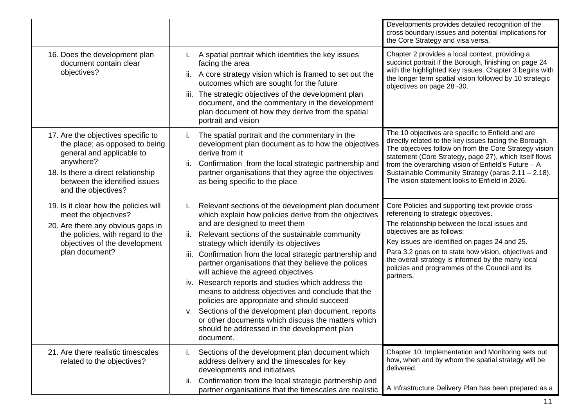|                                                                                                                                                                                                              |                                                                                                                                                                                                                                                                                                                                                                                                                                                                                                                                                                                                                                                                                                                                                          | Developments provides detailed recognition of the<br>cross boundary issues and potential implications for<br>the Core Strategy and visa versa.                                                                                                                                                                                                                                                        |
|--------------------------------------------------------------------------------------------------------------------------------------------------------------------------------------------------------------|----------------------------------------------------------------------------------------------------------------------------------------------------------------------------------------------------------------------------------------------------------------------------------------------------------------------------------------------------------------------------------------------------------------------------------------------------------------------------------------------------------------------------------------------------------------------------------------------------------------------------------------------------------------------------------------------------------------------------------------------------------|-------------------------------------------------------------------------------------------------------------------------------------------------------------------------------------------------------------------------------------------------------------------------------------------------------------------------------------------------------------------------------------------------------|
| 16. Does the development plan<br>document contain clear<br>objectives?                                                                                                                                       | A spatial portrait which identifies the key issues<br>facing the area<br>A core strategy vision which is framed to set out the<br>ii.<br>outcomes which are sought for the future<br>iii. The strategic objectives of the development plan<br>document, and the commentary in the development<br>plan document of how they derive from the spatial<br>portrait and vision                                                                                                                                                                                                                                                                                                                                                                                | Chapter 2 provides a local context, providing a<br>succinct portrait if the Borough, finishing on page 24<br>with the highlighted Key Issues. Chapter 3 begins with<br>the longer term spatial vision followed by 10 strategic<br>objectives on page 28 -30.                                                                                                                                          |
| 17. Are the objectives specific to<br>the place; as opposed to being<br>general and applicable to<br>anywhere?<br>18. Is there a direct relationship<br>between the identified issues<br>and the objectives? | The spatial portrait and the commentary in the<br>$\mathbf{L}$<br>development plan document as to how the objectives<br>derive from it<br>Confirmation from the local strategic partnership and<br>ii.<br>partner organisations that they agree the objectives<br>as being specific to the place                                                                                                                                                                                                                                                                                                                                                                                                                                                         | The 10 objectives are specific to Enfield and are<br>directly related to the key issues facing the Borough.<br>The objectives follow on from the Core Strategy vision<br>statement (Core Strategy, page 27), which itself flows<br>from the overarching vision of Enfield's Future $- A$<br>Sustainable Community Strategy (paras 2.11 - 2.18).<br>The vision statement looks to Enfield in 2026.     |
| 19. Is it clear how the policies will<br>meet the objectives?<br>20. Are there any obvious gaps in<br>the policies, with regard to the<br>objectives of the development<br>plan document?                    | Relevant sections of the development plan document<br>Τ.<br>which explain how policies derive from the objectives<br>and are designed to meet them<br>Relevant sections of the sustainable community<br>ii.<br>strategy which identify its objectives<br>Confirmation from the local strategic partnership and<br>iii.<br>partner organisations that they believe the polices<br>will achieve the agreed objectives<br>iv. Research reports and studies which address the<br>means to address objectives and conclude that the<br>policies are appropriate and should succeed<br>v. Sections of the development plan document, reports<br>or other documents which discuss the matters which<br>should be addressed in the development plan<br>document. | Core Policies and supporting text provide cross-<br>referencing to strategic objectives.<br>The relationship between the local issues and<br>objectives are as follows:<br>Key issues are identified on pages 24 and 25.<br>Para 3.2 goes on to state how vision, objectives and<br>the overall strategy is informed by the many local<br>policies and programmes of the Council and its<br>partners. |
| 21. Are there realistic timescales<br>related to the objectives?                                                                                                                                             | Sections of the development plan document which<br>Τ.<br>address delivery and the timescales for key<br>developments and initiatives<br>Confirmation from the local strategic partnership and<br>ii.<br>partner organisations that the timescales are realistic                                                                                                                                                                                                                                                                                                                                                                                                                                                                                          | Chapter 10: Implementation and Monitoring sets out<br>how, when and by whom the spatial strategy will be<br>delivered.<br>A Infrastructure Delivery Plan has been prepared as a                                                                                                                                                                                                                       |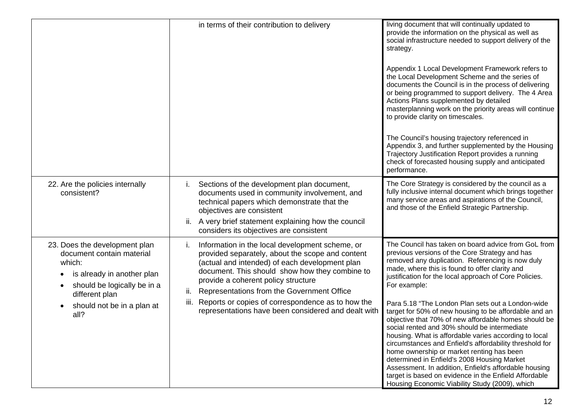|                                                                                                                                                                                                        | in terms of their contribution to delivery                                                                                                                                                                                                                                                                                                                                                                                    | living document that will continually updated to<br>provide the information on the physical as well as<br>social infrastructure needed to support delivery of the<br>strategy.<br>Appendix 1 Local Development Framework refers to<br>the Local Development Scheme and the series of<br>documents the Council is in the process of delivering<br>or being programmed to support delivery. The 4 Area<br>Actions Plans supplemented by detailed<br>masterplanning work on the priority areas will continue<br>to provide clarity on timescales.<br>The Council's housing trajectory referenced in<br>Appendix 3, and further supplemented by the Housing<br>Trajectory Justification Report provides a running<br>check of forecasted housing supply and anticipated<br>performance.                                                                                                             |
|--------------------------------------------------------------------------------------------------------------------------------------------------------------------------------------------------------|-------------------------------------------------------------------------------------------------------------------------------------------------------------------------------------------------------------------------------------------------------------------------------------------------------------------------------------------------------------------------------------------------------------------------------|-------------------------------------------------------------------------------------------------------------------------------------------------------------------------------------------------------------------------------------------------------------------------------------------------------------------------------------------------------------------------------------------------------------------------------------------------------------------------------------------------------------------------------------------------------------------------------------------------------------------------------------------------------------------------------------------------------------------------------------------------------------------------------------------------------------------------------------------------------------------------------------------------|
| 22. Are the policies internally<br>consistent?                                                                                                                                                         | Sections of the development plan document,<br>İ.<br>documents used in community involvement, and<br>technical papers which demonstrate that the<br>objectives are consistent<br>A very brief statement explaining how the council<br>ii.<br>considers its objectives are consistent                                                                                                                                           | The Core Strategy is considered by the council as a<br>fully inclusive internal document which brings together<br>many service areas and aspirations of the Council,<br>and those of the Enfield Strategic Partnership.                                                                                                                                                                                                                                                                                                                                                                                                                                                                                                                                                                                                                                                                         |
| 23. Does the development plan<br>document contain material<br>which:<br>is already in another plan<br>should be logically be in a<br>different plan<br>should not be in a plan at<br>$\bullet$<br>all? | Information in the local development scheme, or<br>Τ.<br>provided separately, about the scope and content<br>(actual and intended) of each development plan<br>document. This should show how they combine to<br>provide a coherent policy structure<br>Representations from the Government Office<br>ii.<br>Reports or copies of correspondence as to how the<br>iii.<br>representations have been considered and dealt with | The Council has taken on board advice from GoL from<br>previous versions of the Core Strategy and has<br>removed any duplication. Referencing is now duly<br>made, where this is found to offer clarity and<br>justification for the local approach of Core Policies.<br>For example:<br>Para 5.18 "The London Plan sets out a London-wide<br>target for 50% of new housing to be affordable and an<br>objective that 70% of new affordable homes should be<br>social rented and 30% should be intermediate<br>housing. What is affordable varies according to local<br>circumstances and Enfield's affordability threshold for<br>home ownership or market renting has been<br>determined in Enfield's 2008 Housing Market<br>Assessment. In addition, Enfield's affordable housing<br>target is based on evidence in the Enfield Affordable<br>Housing Economic Viability Study (2009), which |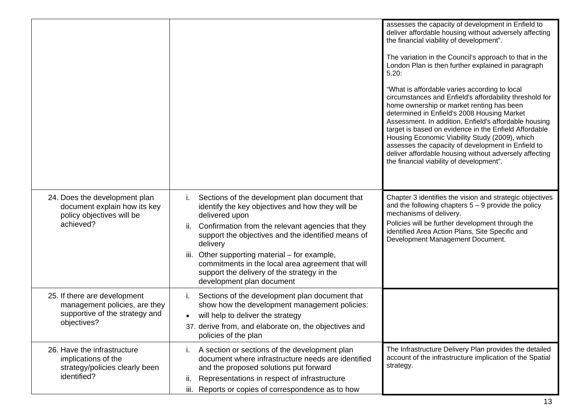|                                                                                                                |                                                                                                                                                                                                                                                                                                                                                                                                                                                         | assesses the capacity of development in Enfield to<br>deliver affordable housing without adversely affecting<br>the financial viability of development".<br>The variation in the Council's approach to that in the<br>London Plan is then further explained in paragraph<br>5.20:<br>"What is affordable varies according to local<br>circumstances and Enfield's affordability threshold for<br>home ownership or market renting has been<br>determined in Enfield's 2008 Housing Market<br>Assessment. In addition, Enfield's affordable housing<br>target is based on evidence in the Enfield Affordable<br>Housing Economic Viability Study (2009), which<br>assesses the capacity of development in Enfield to<br>deliver affordable housing without adversely affecting<br>the financial viability of development". |
|----------------------------------------------------------------------------------------------------------------|---------------------------------------------------------------------------------------------------------------------------------------------------------------------------------------------------------------------------------------------------------------------------------------------------------------------------------------------------------------------------------------------------------------------------------------------------------|---------------------------------------------------------------------------------------------------------------------------------------------------------------------------------------------------------------------------------------------------------------------------------------------------------------------------------------------------------------------------------------------------------------------------------------------------------------------------------------------------------------------------------------------------------------------------------------------------------------------------------------------------------------------------------------------------------------------------------------------------------------------------------------------------------------------------|
| 24. Does the development plan<br>document explain how its key<br>policy objectives will be<br>achieved?        | Sections of the development plan document that<br>$\mathbf{L}$<br>identify the key objectives and how they will be<br>delivered upon<br>Confirmation from the relevant agencies that they<br>ii.<br>support the objectives and the identified means of<br>delivery<br>Other supporting material – for example,<br>iii.<br>commitments in the local area agreement that will<br>support the delivery of the strategy in the<br>development plan document | Chapter 3 identifies the vision and strategic objectives<br>and the following chapters $5 - 9$ provide the policy<br>mechanisms of delivery.<br>Policies will be further development through the<br>identified Area Action Plans, Site Specific and<br>Development Management Document.                                                                                                                                                                                                                                                                                                                                                                                                                                                                                                                                   |
| 25. If there are development<br>management policies, are they<br>supportive of the strategy and<br>objectives? | Sections of the development plan document that<br>i.<br>show how the development management policies:<br>will help to deliver the strategy<br>37. derive from, and elaborate on, the objectives and<br>policies of the plan                                                                                                                                                                                                                             |                                                                                                                                                                                                                                                                                                                                                                                                                                                                                                                                                                                                                                                                                                                                                                                                                           |
| 26. Have the infrastructure<br>implications of the<br>strategy/policies clearly been<br>identified?            | A section or sections of the development plan<br>$\mathbf{L}$<br>document where infrastructure needs are identified<br>and the proposed solutions put forward<br>Representations in respect of infrastructure<br>Ш.<br>Reports or copies of correspondence as to how<br>iii.                                                                                                                                                                            | The Infrastructure Delivery Plan provides the detailed<br>account of the infrastructure implication of the Spatial<br>strategy.                                                                                                                                                                                                                                                                                                                                                                                                                                                                                                                                                                                                                                                                                           |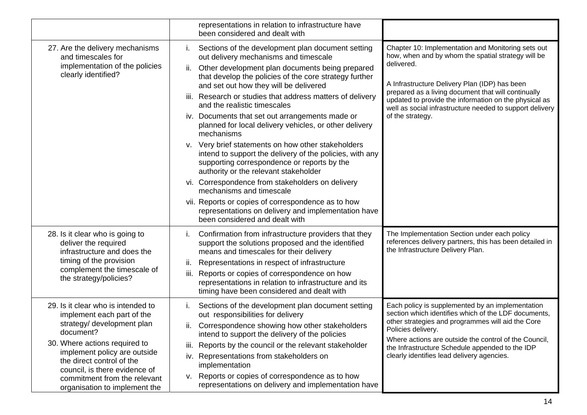|                                                                                                                                                                                                                                                                                                             | representations in relation to infrastructure have<br>been considered and dealt with                                                                                                                                                                                                                                                                                                                                                                                                                                                                                                                                                                                                                                                                                                                                                                                                                                                  |                                                                                                                                                                                                                                                                                                                                                                         |
|-------------------------------------------------------------------------------------------------------------------------------------------------------------------------------------------------------------------------------------------------------------------------------------------------------------|---------------------------------------------------------------------------------------------------------------------------------------------------------------------------------------------------------------------------------------------------------------------------------------------------------------------------------------------------------------------------------------------------------------------------------------------------------------------------------------------------------------------------------------------------------------------------------------------------------------------------------------------------------------------------------------------------------------------------------------------------------------------------------------------------------------------------------------------------------------------------------------------------------------------------------------|-------------------------------------------------------------------------------------------------------------------------------------------------------------------------------------------------------------------------------------------------------------------------------------------------------------------------------------------------------------------------|
| 27. Are the delivery mechanisms<br>and timescales for<br>implementation of the policies<br>clearly identified?                                                                                                                                                                                              | Sections of the development plan document setting<br>Τ.<br>out delivery mechanisms and timescale<br>Other development plan documents being prepared<br>ii.<br>that develop the policies of the core strategy further<br>and set out how they will be delivered<br>iii. Research or studies that address matters of delivery<br>and the realistic timescales<br>Documents that set out arrangements made or<br>IV.<br>planned for local delivery vehicles, or other delivery<br>mechanisms<br>v. Very brief statements on how other stakeholders<br>intend to support the delivery of the policies, with any<br>supporting correspondence or reports by the<br>authority or the relevant stakeholder<br>Correspondence from stakeholders on delivery<br>VI.<br>mechanisms and timescale<br>vii. Reports or copies of correspondence as to how<br>representations on delivery and implementation have<br>been considered and dealt with | Chapter 10: Implementation and Monitoring sets out<br>how, when and by whom the spatial strategy will be<br>delivered.<br>A Infrastructure Delivery Plan (IDP) has been<br>prepared as a living document that will continually<br>updated to provide the information on the physical as<br>well as social infrastructure needed to support delivery<br>of the strategy. |
| 28. Is it clear who is going to<br>deliver the required<br>infrastructure and does the<br>timing of the provision<br>complement the timescale of<br>the strategy/policies?                                                                                                                                  | Confirmation from infrastructure providers that they<br>support the solutions proposed and the identified<br>means and timescales for their delivery<br>Representations in respect of infrastructure<br>Ш.<br>Reports or copies of correspondence on how<br>iii.<br>representations in relation to infrastructure and its<br>timing have been considered and dealt with                                                                                                                                                                                                                                                                                                                                                                                                                                                                                                                                                               | The Implementation Section under each policy<br>references delivery partners, this has been detailed in<br>the Infrastructure Delivery Plan.                                                                                                                                                                                                                            |
| 29. Is it clear who is intended to<br>implement each part of the<br>strategy/ development plan<br>document?<br>30. Where actions required to<br>implement policy are outside<br>the direct control of the<br>council, is there evidence of<br>commitment from the relevant<br>organisation to implement the | Sections of the development plan document setting<br>Ι.<br>out responsibilities for delivery<br>Correspondence showing how other stakeholders<br>ii.<br>intend to support the delivery of the policies<br>Reports by the council or the relevant stakeholder<br>III.<br>iv. Representations from stakeholders on<br>implementation<br>Reports or copies of correspondence as to how<br>v.<br>representations on delivery and implementation have                                                                                                                                                                                                                                                                                                                                                                                                                                                                                      | Each policy is supplemented by an implementation<br>section which identifies which of the LDF documents,<br>other strategies and programmes will aid the Core<br>Policies delivery.<br>Where actions are outside the control of the Council,<br>the Infrastructure Schedule appended to the IDP<br>clearly identifies lead delivery agencies.                           |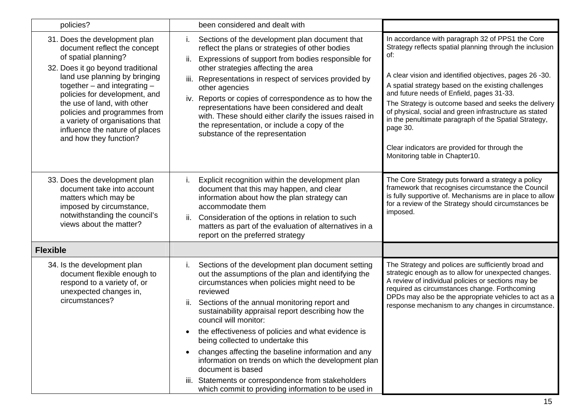| policies?                                                                                                                                                                                                                                                                                                                                                                                      | been considered and dealt with                                                                                                                                                                                                                                                                                                                                                                                                                                                                                                                         |                                                                                                                                                                                                                                                                                                                                                                                                                                                                                                                                                              |
|------------------------------------------------------------------------------------------------------------------------------------------------------------------------------------------------------------------------------------------------------------------------------------------------------------------------------------------------------------------------------------------------|--------------------------------------------------------------------------------------------------------------------------------------------------------------------------------------------------------------------------------------------------------------------------------------------------------------------------------------------------------------------------------------------------------------------------------------------------------------------------------------------------------------------------------------------------------|--------------------------------------------------------------------------------------------------------------------------------------------------------------------------------------------------------------------------------------------------------------------------------------------------------------------------------------------------------------------------------------------------------------------------------------------------------------------------------------------------------------------------------------------------------------|
| 31. Does the development plan<br>document reflect the concept<br>of spatial planning?<br>32. Does it go beyond traditional<br>land use planning by bringing<br>together $-$ and integrating $-$<br>policies for development, and<br>the use of land, with other<br>policies and programmes from<br>a variety of organisations that<br>influence the nature of places<br>and how they function? | Sections of the development plan document that<br>i.<br>reflect the plans or strategies of other bodies<br>Expressions of support from bodies responsible for<br>ii.<br>other strategies affecting the area<br>Representations in respect of services provided by<br>iii.<br>other agencies<br>Reports or copies of correspondence as to how the<br>iv.<br>representations have been considered and dealt<br>with. These should either clarify the issues raised in<br>the representation, or include a copy of the<br>substance of the representation | In accordance with paragraph 32 of PPS1 the Core<br>Strategy reflects spatial planning through the inclusion<br>of:<br>A clear vision and identified objectives, pages 26 -30.<br>A spatial strategy based on the existing challenges<br>and future needs of Enfield, pages 31-33.<br>The Strategy is outcome based and seeks the delivery<br>of physical, social and green infrastructure as stated<br>in the penultimate paragraph of the Spatial Strategy,<br>page 30.<br>Clear indicators are provided for through the<br>Monitoring table in Chapter10. |
| 33. Does the development plan<br>document take into account<br>matters which may be<br>imposed by circumstance,<br>notwithstanding the council's<br>views about the matter?                                                                                                                                                                                                                    | Explicit recognition within the development plan<br>İ.<br>document that this may happen, and clear<br>information about how the plan strategy can<br>accommodate them<br>Consideration of the options in relation to such<br>ii.<br>matters as part of the evaluation of alternatives in a<br>report on the preferred strategy                                                                                                                                                                                                                         | The Core Strategy puts forward a strategy a policy<br>framework that recognises circumstance the Council<br>is fully supportive of. Mechanisms are in place to allow<br>for a review of the Strategy should circumstances be<br>imposed.                                                                                                                                                                                                                                                                                                                     |
| <b>Flexible</b>                                                                                                                                                                                                                                                                                                                                                                                |                                                                                                                                                                                                                                                                                                                                                                                                                                                                                                                                                        |                                                                                                                                                                                                                                                                                                                                                                                                                                                                                                                                                              |
| 34. Is the development plan<br>document flexible enough to<br>respond to a variety of, or<br>unexpected changes in,<br>circumstances?                                                                                                                                                                                                                                                          | Sections of the development plan document setting<br>İ.<br>out the assumptions of the plan and identifying the<br>circumstances when policies might need to be<br>reviewed<br>Sections of the annual monitoring report and<br>ii.<br>sustainability appraisal report describing how the<br>council will monitor:<br>the effectiveness of policies and what evidence is<br>being collected to undertake this<br>changes affecting the baseline information and any<br>information on trends on which the development plan                               | The Strategy and polices are sufficiently broad and<br>strategic enough as to allow for unexpected changes.<br>A review of individual policies or sections may be<br>required as circumstances change. Forthcoming<br>DPDs may also be the appropriate vehicles to act as a<br>response mechanism to any changes in circumstance.                                                                                                                                                                                                                            |
|                                                                                                                                                                                                                                                                                                                                                                                                | document is based<br>iii. Statements or correspondence from stakeholders<br>which commit to providing information to be used in                                                                                                                                                                                                                                                                                                                                                                                                                        |                                                                                                                                                                                                                                                                                                                                                                                                                                                                                                                                                              |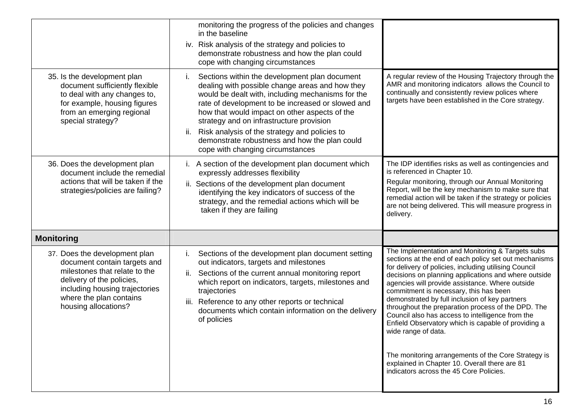|                                                                                                                                                                                                                  | monitoring the progress of the policies and changes<br>in the baseline<br>iv. Risk analysis of the strategy and policies to<br>demonstrate robustness and how the plan could<br>cope with changing circumstances                                                                                                                                                                                                                                           |                                                                                                                                                                                                                                                                                                                                                                                                                                                                                                                                                                                                                                                                                                                      |
|------------------------------------------------------------------------------------------------------------------------------------------------------------------------------------------------------------------|------------------------------------------------------------------------------------------------------------------------------------------------------------------------------------------------------------------------------------------------------------------------------------------------------------------------------------------------------------------------------------------------------------------------------------------------------------|----------------------------------------------------------------------------------------------------------------------------------------------------------------------------------------------------------------------------------------------------------------------------------------------------------------------------------------------------------------------------------------------------------------------------------------------------------------------------------------------------------------------------------------------------------------------------------------------------------------------------------------------------------------------------------------------------------------------|
| 35. Is the development plan<br>document sufficiently flexible<br>to deal with any changes to,<br>for example, housing figures<br>from an emerging regional<br>special strategy?                                  | Sections within the development plan document<br>Τ.<br>dealing with possible change areas and how they<br>would be dealt with, including mechanisms for the<br>rate of development to be increased or slowed and<br>how that would impact on other aspects of the<br>strategy and on infrastructure provision<br>Risk analysis of the strategy and policies to<br>ii.<br>demonstrate robustness and how the plan could<br>cope with changing circumstances | A regular review of the Housing Trajectory through the<br>AMR and monitoring indicators allows the Council to<br>continually and consistently review polices where<br>targets have been established in the Core strategy.                                                                                                                                                                                                                                                                                                                                                                                                                                                                                            |
| 36. Does the development plan<br>document include the remedial<br>actions that will be taken if the<br>strategies/policies are failing?                                                                          | i. A section of the development plan document which<br>expressly addresses flexibility<br>ii. Sections of the development plan document<br>identifying the key indicators of success of the<br>strategy, and the remedial actions which will be<br>taken if they are failing                                                                                                                                                                               | The IDP identifies risks as well as contingencies and<br>is referenced in Chapter 10.<br>Regular monitoring, through our Annual Monitoring<br>Report, will be the key mechanism to make sure that<br>remedial action will be taken if the strategy or policies<br>are not being delivered. This will measure progress in<br>delivery.                                                                                                                                                                                                                                                                                                                                                                                |
| <b>Monitoring</b>                                                                                                                                                                                                |                                                                                                                                                                                                                                                                                                                                                                                                                                                            |                                                                                                                                                                                                                                                                                                                                                                                                                                                                                                                                                                                                                                                                                                                      |
| 37. Does the development plan<br>document contain targets and<br>milestones that relate to the<br>delivery of the policies,<br>including housing trajectories<br>where the plan contains<br>housing allocations? | Sections of the development plan document setting<br>Τ.<br>out indicators, targets and milestones<br>Sections of the current annual monitoring report<br>ii.<br>which report on indicators, targets, milestones and<br>trajectories<br>Reference to any other reports or technical<br>iii.<br>documents which contain information on the delivery<br>of policies                                                                                           | The Implementation and Monitoring & Targets subs<br>sections at the end of each policy set out mechanisms<br>for delivery of policies, including utilising Council<br>decisions on planning applications and where outside<br>agencies will provide assistance. Where outside<br>commitment is necessary, this has been<br>demonstrated by full inclusion of key partners<br>throughout the preparation process of the DPD. The<br>Council also has access to intelligence from the<br>Enfield Observatory which is capable of providing a<br>wide range of data.<br>The monitoring arrangements of the Core Strategy is<br>explained in Chapter 10. Overall there are 81<br>indicators across the 45 Core Policies. |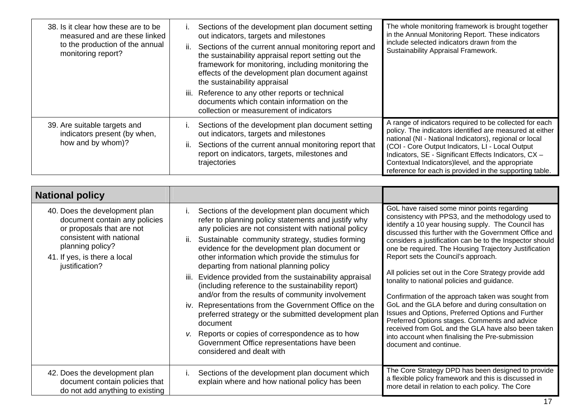| 38. Is it clear how these are to be<br>measured and are these linked<br>to the production of the annual<br>monitoring report? | Sections of the development plan document setting<br>out indicators, targets and milestones<br>Sections of the current annual monitoring report and<br>ii.<br>the sustainability appraisal report setting out the<br>framework for monitoring, including monitoring the<br>effects of the development plan document against<br>the sustainability appraisal<br>iii. Reference to any other reports or technical<br>documents which contain information on the<br>collection or measurement of indicators | The whole monitoring framework is brought together<br>in the Annual Monitoring Report. These indicators<br>include selected indicators drawn from the<br>Sustainability Appraisal Framework.                                                                                                                                                                                                               |
|-------------------------------------------------------------------------------------------------------------------------------|----------------------------------------------------------------------------------------------------------------------------------------------------------------------------------------------------------------------------------------------------------------------------------------------------------------------------------------------------------------------------------------------------------------------------------------------------------------------------------------------------------|------------------------------------------------------------------------------------------------------------------------------------------------------------------------------------------------------------------------------------------------------------------------------------------------------------------------------------------------------------------------------------------------------------|
| 39. Are suitable targets and<br>indicators present (by when,<br>how and by whom)?                                             | Sections of the development plan document setting<br>out indicators, targets and milestones<br>Sections of the current annual monitoring report that<br>ii.<br>report on indicators, targets, milestones and<br>trajectories                                                                                                                                                                                                                                                                             | A range of indicators required to be collected for each<br>policy. The indicators identified are measured at either<br>national (NI - National Indicators), regional or local<br>(COI - Core Output Indicators, LI - Local Output<br>Indicators, SE - Significant Effects Indicators, CX -<br>Contextual Indicators) level, and the appropriate<br>reference for each is provided in the supporting table. |

| <b>National policy</b>                                                                                                                                                                        |                                                                                                                                                                                                                                                                                                                                                                                                                                                                                                                                                                                                                                                                                                                                                                                                                |                                                                                                                                                                                                                                                                                                                                                                                                                                                                                                                                                                                                                                                                                                                                                                                                                                          |
|-----------------------------------------------------------------------------------------------------------------------------------------------------------------------------------------------|----------------------------------------------------------------------------------------------------------------------------------------------------------------------------------------------------------------------------------------------------------------------------------------------------------------------------------------------------------------------------------------------------------------------------------------------------------------------------------------------------------------------------------------------------------------------------------------------------------------------------------------------------------------------------------------------------------------------------------------------------------------------------------------------------------------|------------------------------------------------------------------------------------------------------------------------------------------------------------------------------------------------------------------------------------------------------------------------------------------------------------------------------------------------------------------------------------------------------------------------------------------------------------------------------------------------------------------------------------------------------------------------------------------------------------------------------------------------------------------------------------------------------------------------------------------------------------------------------------------------------------------------------------------|
| 40. Does the development plan<br>document contain any policies<br>or proposals that are not<br>consistent with national<br>planning policy?<br>41. If yes, is there a local<br>justification? | Sections of the development plan document which<br>refer to planning policy statements and justify why<br>any policies are not consistent with national policy<br>Sustainable community strategy, studies forming<br>ii.<br>evidence for the development plan document or<br>other information which provide the stimulus for<br>departing from national planning policy<br>Evidence provided from the sustainability appraisal<br>iii.<br>(including reference to the sustainability report)<br>and/or from the results of community involvement<br>iv. Representations from the Government Office on the<br>preferred strategy or the submitted development plan<br>document<br>v. Reports or copies of correspondence as to how<br>Government Office representations have been<br>considered and dealt with | GoL have raised some minor points regarding<br>consistency with PPS3, and the methodology used to<br>identify a 10 year housing supply. The Council has<br>discussed this further with the Government Office and<br>considers a justification can be to the Inspector should<br>one be required. The Housing Trajectory Justification<br>Report sets the Council's approach.<br>All policies set out in the Core Strategy provide add<br>tonality to national policies and guidance.<br>Confirmation of the approach taken was sought from<br>GoL and the GLA before and during consultation on<br>Issues and Options, Preferred Options and Further<br>Preferred Options stages. Comments and advice<br>received from GoL and the GLA have also been taken<br>into account when finalising the Pre-submission<br>document and continue. |
| 42. Does the development plan<br>document contain policies that<br>do not add anything to existing                                                                                            | Sections of the development plan document which<br>İ.<br>explain where and how national policy has been                                                                                                                                                                                                                                                                                                                                                                                                                                                                                                                                                                                                                                                                                                        | The Core Strategy DPD has been designed to provide<br>a flexible policy framework and this is discussed in<br>more detail in relation to each policy. The Core                                                                                                                                                                                                                                                                                                                                                                                                                                                                                                                                                                                                                                                                           |